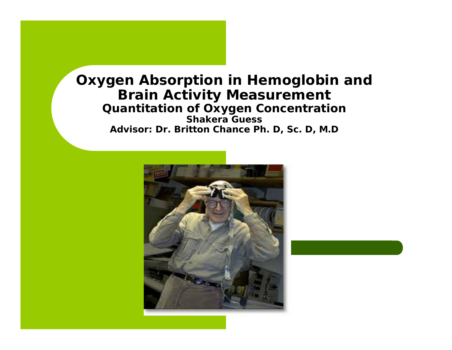#### **Oxygen Absorption in Hemoglobin and Brain Activity Measurement Quantitation of Oxygen Concentration Shakera Guess Advisor: Dr. Britton Chance Ph. D, Sc. D, M.D**

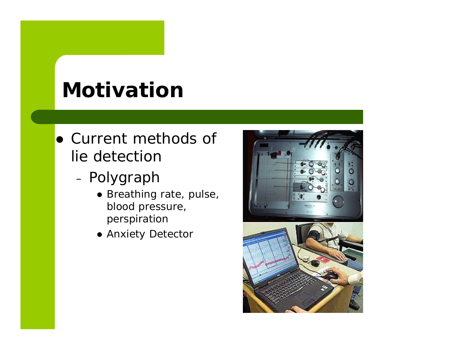# **Motivation**

- Current methods of lie detection
	- Polygraph
		- Breathing rate, pulse, blood pressure, perspiration
		- Anxiety Detector

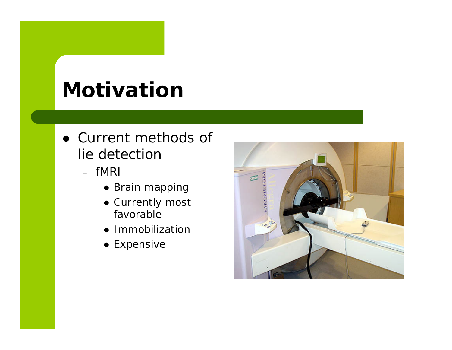# **Motivation**

- Current methods of lie detectior
	- fMR
		- Brain mapping
		- Currently most favorable
		- Immobilization
		- $\bullet$  Expensive

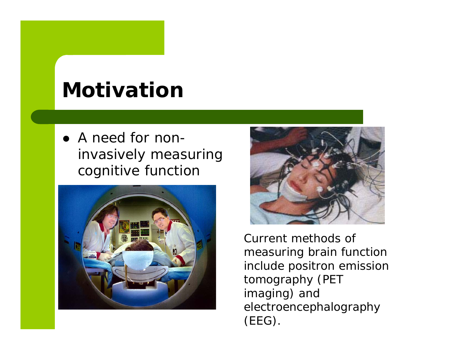# **Motivation**

• A need for noninvasively measuring cognitive function





Current methods of measuring brain function include positron emission tomography (PET imaging) and electroencephalography (EEG).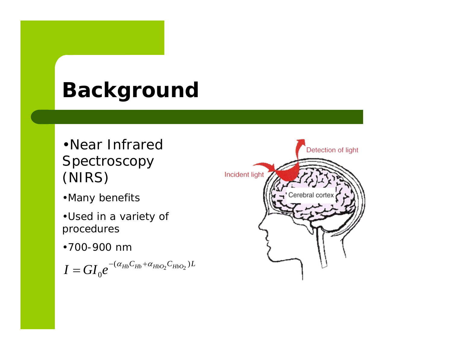# **Background**

- •Near Infrared Spectroscopy (NIRS)
- •Many benefits
- •Used in a variety of procedures
- •700-900 nm

 $I = G I_0 e^{-(\alpha_{Hb}C_{Hb}+\alpha_{HbO_2}C_{HbO_2})L}$  $= G I \; \rho^{-(\alpha_{Hb} C_{Hb} + \alpha_{HbO_2} C_{HbO_2})}$ 

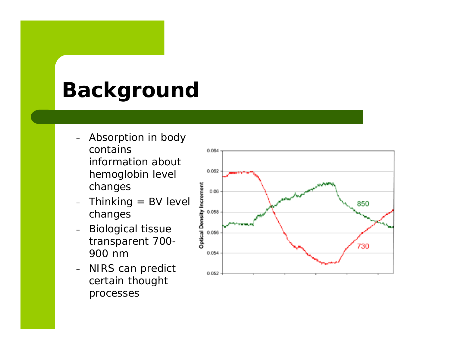# **Background**

- Absorption in body contains information about hemoglobin level changes
- Thinking = BV level changes
- Biological tissue transparent 700- 900 nm
- NIRS can predict certain thought processes

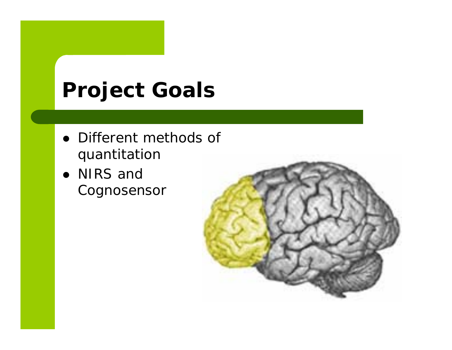# **Project Goals**

- Different methods of quantitation
- NIRS and Cognosensor

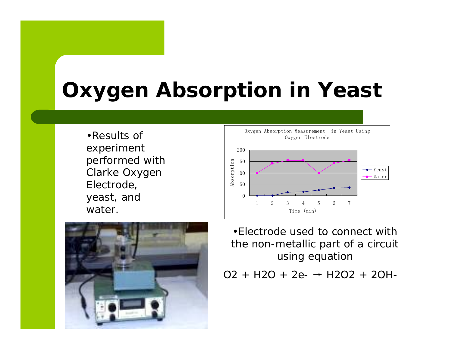# **Oxygen Absorption in Yeast**

•Results of experiment performed with Clarke Oxygen Electrode, yeast, and water.





•Electrode used to connect with the non-metallic part of a circuit using equation

O2 + H2O + 2e-→ H2O2 + 2OH-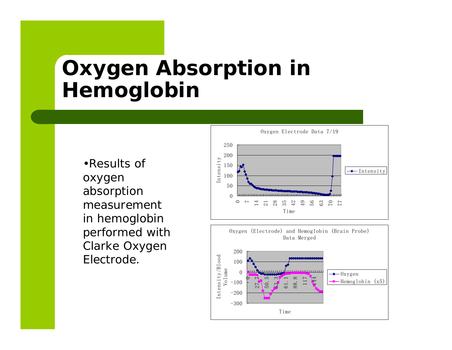### **Oxygen Absorption in Hemoglobin**

absorption measurement in hemoglobin performed with Clarke Oxygen Electrode.

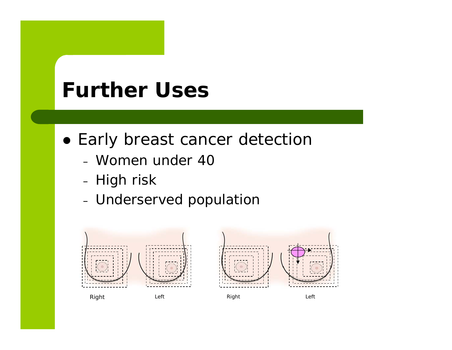#### **Further Uses**

- Early breast cancer detectior
	- Women under 40
	- High risk
	- Underserved population

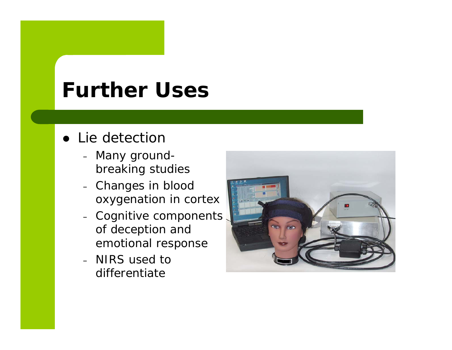#### **Further Uses**

- Lie detection
	- Many groundbreaking studies
	- Changes in blood oxygenation in cortex
	- Cognitive components of deception and emotional response
	- NIRS used to differentiate

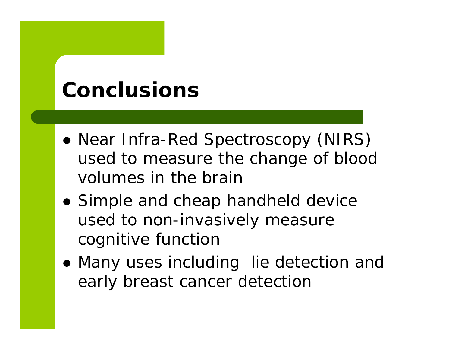## **Conclusions**

- Near Infra-Red Spectroscopy (NIRS) used to measure the change of blood volumes in the brain
- Simple and cheap handheld device used to non-invasively measure cognitive function
- Many uses including lie detection and early breast cancer detection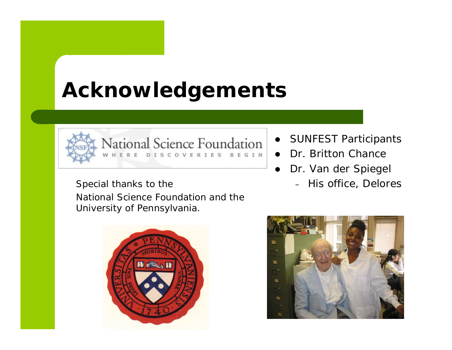# **Acknowledgements**



National Science Foundation  $R$  F **DISCOVERIES** BEGIN

Special thanks to the  $-$  His office, Delores National Science Foundation and the University of Pennsylvania.

**HIGHAN** 



- $\bullet$ SUNFEST Participants
- Dr. Britton Chance
- $\bullet$  Dr. Van der Spiegel
	-